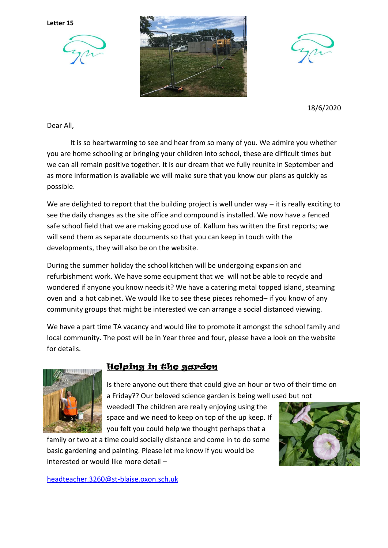**Letter 15**







18/6/2020

Dear All,

It is so heartwarming to see and hear from so many of you. We admire you whether you are home schooling or bringing your children into school, these are difficult times but we can all remain positive together. It is our dream that we fully reunite in September and as more information is available we will make sure that you know our plans as quickly as possible.

We are delighted to report that the building project is well under way – it is really exciting to see the daily changes as the site office and compound is installed. We now have a fenced safe school field that we are making good use of. Kallum has written the first reports; we will send them as separate documents so that you can keep in touch with the developments, they will also be on the website.

During the summer holiday the school kitchen will be undergoing expansion and refurbishment work. We have some equipment that we will not be able to recycle and wondered if anyone you know needs it? We have a catering metal topped island, steaming oven and a hot cabinet. We would like to see these pieces rehomed– if you know of any community groups that might be interested we can arrange a social distanced viewing.

We have a part time TA vacancy and would like to promote it amongst the school family and local community. The post will be in Year three and four, please have a look on the website for details.



## Helping in the garden

Is there anyone out there that could give an hour or two of their time on a Friday?? Our beloved science garden is being well used but not

weeded! The children are really enjoying using the space and we need to keep on top of the up keep. If you felt you could help we thought perhaps that a

family or two at a time could socially distance and come in to do some basic gardening and painting. Please let me know if you would be interested or would like more detail –



[headteacher.3260@st-blaise.oxon.sch.uk](mailto:headteacher.3260@st-blaise.oxon.sch.uk)